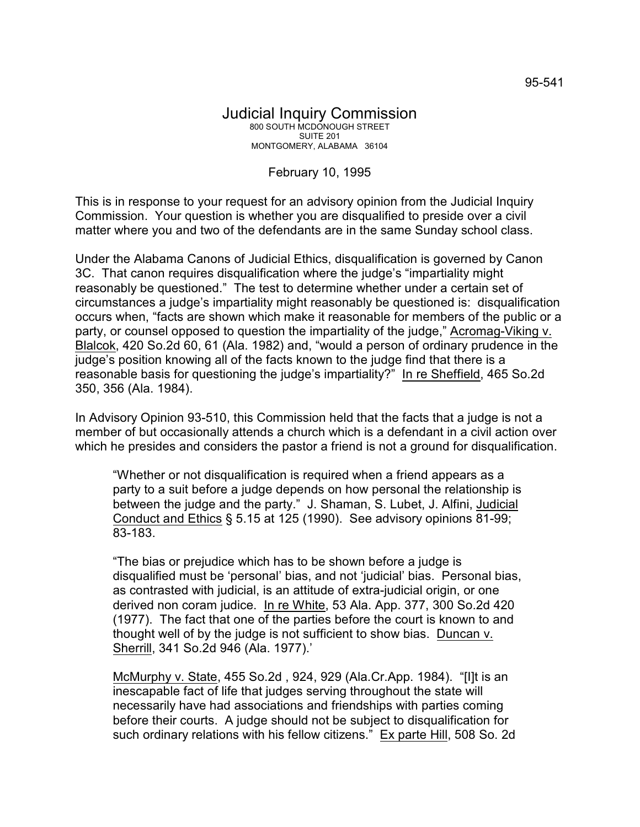## February 10, 1995

This is in response to your request for an advisory opinion from the Judicial Inquiry Commission. Your question is whether you are disqualified to preside over a civil matter where you and two of the defendants are in the same Sunday school class.

Under the Alabama Canons of Judicial Ethics, disqualification is governed by Canon 3C. That canon requires disqualification where the judge's "impartiality might reasonably be questioned." The test to determine whether under a certain set of circumstances a judge's impartiality might reasonably be questioned is: disqualification occurs when, "facts are shown which make it reasonable for members of the public or a party, or counsel opposed to question the impartiality of the judge," Acromag-Viking v. Blalcok, 420 So.2d 60, 61 (Ala. 1982) and, "would a person of ordinary prudence in the judge's position knowing all of the facts known to the judge find that there is a reasonable basis for questioning the judge's impartiality?" In re Sheffield, 465 So.2d 350, 356 (Ala. 1984).

In Advisory Opinion 93-510, this Commission held that the facts that a judge is not a member of but occasionally attends a church which is a defendant in a civil action over which he presides and considers the pastor a friend is not a ground for disqualification.

"Whether or not disqualification is required when a friend appears as a party to a suit before a judge depends on how personal the relationship is between the judge and the party." J. Shaman, S. Lubet, J. Alfini, Judicial Conduct and Ethics § 5.15 at 125 (1990). See advisory opinions 81-99; 83-183.

"The bias or prejudice which has to be shown before a judge is disqualified must be 'personal' bias, and not 'judicial' bias. Personal bias, as contrasted with judicial, is an attitude of extra-judicial origin, or one derived non coram judice. In re White, 53 Ala. App. 377, 300 So.2d 420 (1977). The fact that one of the parties before the court is known to and thought well of by the judge is not sufficient to show bias. Duncan v. Sherrill, 341 So.2d 946 (Ala. 1977).'

McMurphy v. State, 455 So.2d , 924, 929 (Ala.Cr.App. 1984). "[I]t is an inescapable fact of life that judges serving throughout the state will necessarily have had associations and friendships with parties coming before their courts. A judge should not be subject to disqualification for such ordinary relations with his fellow citizens." Ex parte Hill, 508 So. 2d